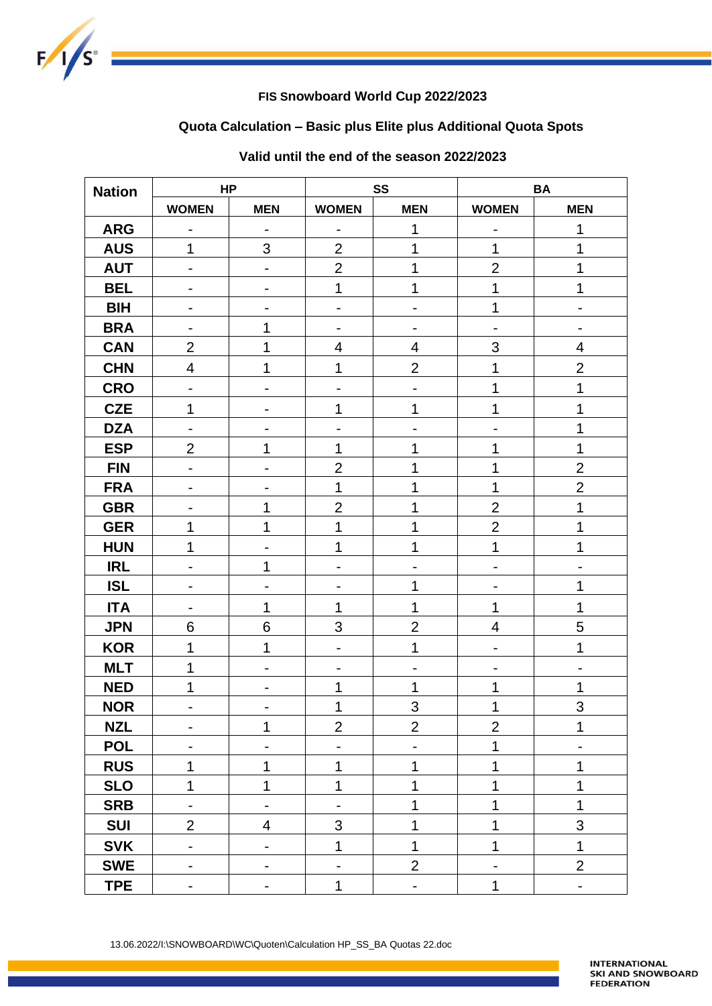

## **FIS Snowboard World Cup 2022/2023**

# **Quota Calculation – Basic plus Elite plus Additional Quota Spots**

| <b>Nation</b> | <b>HP</b>                    |                              | SS                       |                          | <b>BA</b>                |                              |
|---------------|------------------------------|------------------------------|--------------------------|--------------------------|--------------------------|------------------------------|
|               | <b>WOMEN</b>                 | <b>MEN</b>                   | <b>WOMEN</b>             | <b>MEN</b>               | <b>WOMEN</b>             | <b>MEN</b>                   |
| <b>ARG</b>    | ۰                            | $\overline{\phantom{0}}$     | -                        | 1                        | -                        | 1                            |
| <b>AUS</b>    | 1                            | 3                            | $\overline{2}$           | 1                        | 1                        | 1                            |
| <b>AUT</b>    | $\blacksquare$               | $\qquad \qquad \blacksquare$ | $\overline{2}$           | 1                        | $\overline{2}$           | 1                            |
| <b>BEL</b>    |                              |                              | $\mathbf 1$              | 1                        | 1                        | 1                            |
| <b>BIH</b>    | $\overline{\phantom{a}}$     |                              | $\overline{\phantom{0}}$ | -                        | 1                        | $\qquad \qquad \blacksquare$ |
| <b>BRA</b>    |                              | 1                            | -                        |                          | $\overline{a}$           |                              |
| <b>CAN</b>    | $\overline{2}$               | 1                            | $\overline{\mathbf{4}}$  | $\overline{4}$           | 3                        | $\overline{\mathbf{4}}$      |
| <b>CHN</b>    | $\overline{\mathbf{4}}$      | 1                            | 1                        | $\overline{2}$           | 1                        | $\overline{2}$               |
| <b>CRO</b>    | $\overline{\phantom{0}}$     | $\qquad \qquad \blacksquare$ | -                        | $\overline{\phantom{0}}$ | 1                        | 1                            |
| <b>CZE</b>    | 1                            |                              | 1                        | 1                        | 1                        | 1                            |
| <b>DZA</b>    | $\overline{\phantom{a}}$     |                              |                          |                          |                          | 1                            |
| <b>ESP</b>    | $\overline{2}$               | 1                            | 1                        | 1                        | 1                        | 1                            |
| <b>FIN</b>    |                              |                              | $\overline{2}$           | 1                        | 1                        | $\overline{2}$               |
| <b>FRA</b>    | $\qquad \qquad \blacksquare$ |                              | 1                        | 1                        | 1                        | $\overline{2}$               |
| <b>GBR</b>    |                              | 1                            | $\overline{2}$           | 1                        | $\overline{2}$           | 1                            |
| <b>GER</b>    | 1                            | 1                            | 1                        | 1                        | $\overline{2}$           | 1                            |
| <b>HUN</b>    | 1                            |                              | 1                        | 1                        | $\mathbf{1}$             | 1                            |
| <b>IRL</b>    | $\qquad \qquad \blacksquare$ | 1                            | -                        |                          | -                        | $\overline{\phantom{0}}$     |
| <b>ISL</b>    | ۰                            |                              |                          | 1                        | -                        | 1                            |
| <b>ITA</b>    | $\overline{\phantom{a}}$     | 1                            | 1                        | 1                        | 1                        | 1                            |
| <b>JPN</b>    | 6                            | 6                            | 3                        | $\overline{2}$           | $\overline{4}$           | 5                            |
| <b>KOR</b>    | 1                            | 1                            | -                        | 1                        |                          | 1                            |
| <b>MLT</b>    | 1                            |                              |                          |                          |                          |                              |
| <b>NED</b>    | 1                            | -                            | 1                        | 1                        | 1                        | 1                            |
| <b>NOR</b>    | ۰                            |                              | 1                        | 3                        | 1                        | 3                            |
| <b>NZL</b>    | $\overline{\phantom{a}}$     | 1                            | $\overline{2}$           | $\overline{2}$           | $\overline{2}$           | 1                            |
| <b>POL</b>    |                              |                              | -                        |                          | $\mathbf 1$              |                              |
| <b>RUS</b>    | 1                            | 1                            | $\mathbf 1$              | 1                        | $\mathbf 1$              | 1                            |
| <b>SLO</b>    | 1                            | 1                            | $\mathbf 1$              | 1                        | 1                        | 1                            |
| <b>SRB</b>    | $\blacksquare$               | $\overline{\phantom{a}}$     |                          | 1                        | $\mathbf{1}$             | 1                            |
| <b>SUI</b>    | $\overline{2}$               | $\overline{\mathcal{A}}$     | 3                        | 1                        | $\mathbf 1$              | 3                            |
| <b>SVK</b>    | $\overline{\phantom{a}}$     | $\qquad \qquad \blacksquare$ | $\overline{1}$           | $\mathbf 1$              | $\mathbf 1$              | $\overline{1}$               |
| <b>SWE</b>    | $\blacksquare$               | -                            | $\overline{\phantom{0}}$ | $\overline{2}$           | $\overline{\phantom{0}}$ | $\overline{2}$               |
| <b>TPE</b>    | $\blacksquare$               | $\qquad \qquad \blacksquare$ | $\mathbf{1}$             | $\blacksquare$           | $\mathbf 1$              | $\blacksquare$               |

## **Valid until the end of the season 2022/2023**

13.06.2022/I:\SNOWBOARD\WC\Quoten\Calculation HP\_SS\_BA Quotas 22.doc